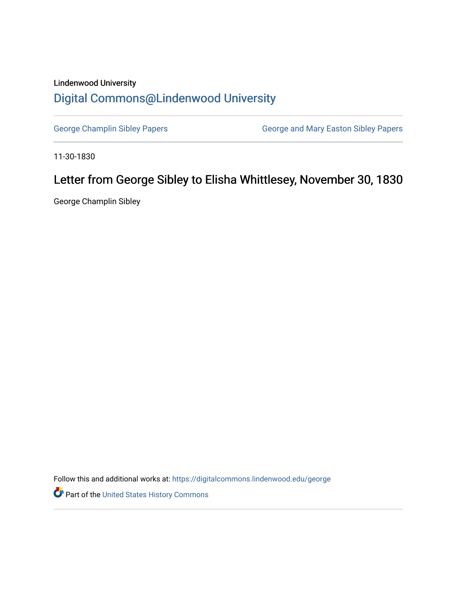## Lindenwood University [Digital Commons@Lindenwood University](https://digitalcommons.lindenwood.edu/)

[George Champlin Sibley Papers](https://digitalcommons.lindenwood.edu/george) **George and Mary Easton Sibley Papers** George and Mary Easton Sibley Papers

11-30-1830

## Letter from George Sibley to Elisha Whittlesey, November 30, 1830

George Champlin Sibley

Follow this and additional works at: [https://digitalcommons.lindenwood.edu/george](https://digitalcommons.lindenwood.edu/george?utm_source=digitalcommons.lindenwood.edu%2Fgeorge%2F290&utm_medium=PDF&utm_campaign=PDFCoverPages)

Part of the [United States History Commons](http://network.bepress.com/hgg/discipline/495?utm_source=digitalcommons.lindenwood.edu%2Fgeorge%2F290&utm_medium=PDF&utm_campaign=PDFCoverPages)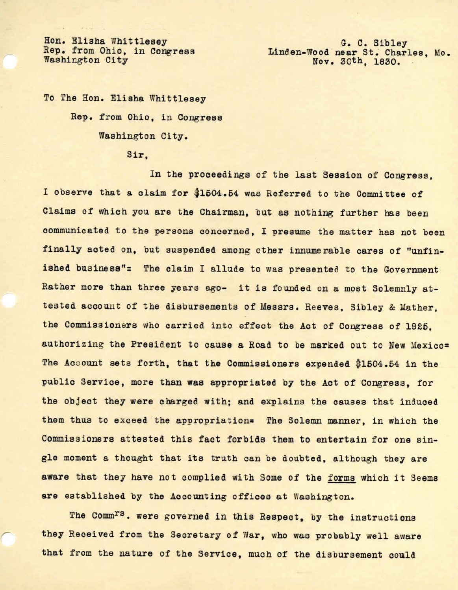Hon. Elisha Whittlesey Rep. from Ohio, in Congress Washington City

G. C. Sibley Linden-Wood near St. Charles, Mo. Nov. 30th, 1830.

To The Hon. Elisha Whittlesey Rep. from Ohio, in Congress Washington City.

**Sir,** 

In the proceedings of the last Session of Congress, I observe that a claim for \$1504.54 was Referred to the Committee of Claims of which you are the Chairman, but as nothing further has been communicated to the persons concerned. I presume the matter has not been finally acted on, but suspended among other innumerable cares of "unfinished business"= The claim I allude to was presented to the Government Rather more than three years ago- it is founded on a most Solemnly attested account of the disbursements of Messrs. Reeves, Sibley & Mather, the Commissioners who carried into effect the Act of Congress of 1825. authorizing the President to cause a Road to be marked out to New Mexico= The Account sets forth, that the Commissioners expended \$1504.54 in the public Service, more than was appropriated by the Act of Congress, for the object they were charged with; and explains the causes that induced them thus to exceed the appropriation= The Solemn manner, in which the Commissioners attested this fact forbids them to entertain for one single moment a thought that its truth can be doubted, although they are aware that they have not complied with Some of the forms which it Seems are established by the Accounting offices at Washington.

The Comm<sup>rs</sup>. were governed in this Respect, by the instructions they Received from the Secretary of War, who was probably well aware that from the nature of the Service, much of the disbursement could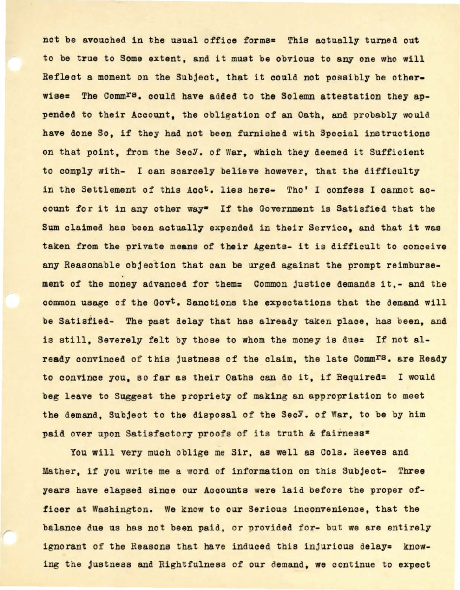not be avouched in the usual office forms= This actually turned out to be true to Some extent, and it must be obvious to any one who will Reflect a moment on the Subject, that it could not possibly be otherwise= The Comm<sup>rs</sup>. could have added to the Solemn attestation they appended to their Account, the obligation of an Oath, and probably would have done So, if they had not been furnished with Special instructions on that point, from the SecY. of War, which they deemed it Sufficient to comply with- I can scarcely believe however, that the difficulty in the Settlement of this Acc<sup>t</sup>. lies here- Tho' I confess I cannot account for it in any other way<sup>=</sup> If the Government is Satisfied that the Sum claimed has been actually expended in their Service, and that it was taken from the private means of their Agents- it is difficult to conceive any Reasonable objection that can be urged against the prompt reimbursement of the money advanced for them= Common justice demands it,- and the common usage of the Govt. Sanctions the expectations that the demand will be Satisfied- The past delay that has already taken place, has been, and is still. Severely felt by those to whom the money is due= If not already convinced of this justness of the claim, the late Comm<sup>rs</sup>. are Ready to convince you, so far as their Oaths can do it, if Required= I would beg leave to Suggest the propriety of making an appropriation to meet the demand. Subject to the disposal of the SecY. of War, to be by him paid over upon Satisfactory proofs of its truth & fairness=

You will very much oblige me Sir, as well as Cols. Reeves and Mather, if you write me a word of information on this Subject- Three years have elapsed since our Accounts were laid before the proper officer at Washington. We know to our Serious inconvenience, that the balance due us has not been paid, or provided for- but we are entirely ignorant of the Reasons that have induced this injurious delay= knowing the justness and Rightfulness of our demand, we continue to expect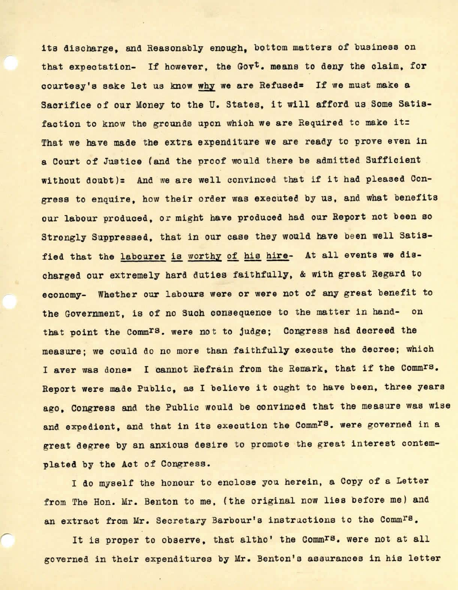its discharge, and Reasonably enough, bottom matters of business on that expectation- If however, the Govt. means to deny the claim, for courtesy's sake let us know why we are Refused= If we must make a Sacrifice of our Money to the U. States, it will afford us Some Satisfaction to know the grounds upon which we are Required to make it: That we have made the extra expenditure we are ready to prove even in a Court of Justice (and the proof would there be admitted Sufficient without doubt)= And we are well convinced that if it had pleased Congress to enquire, how their order was executed by us, and what benefits our labour produced, or might have produced had our Report not been so Strongly Suppressed, that in our case they would have been well Satisfied that the labourer is worthy of his hire- At all events we discharged our extremely bard duties faithfully, & with great Regard to economy- Whether our labours were or were not of any great benefit to the Government, is of no Such consequence to the matter in hand- on that point the Commrs. were not to judge; Congress had decreed the measure; we could do no more than faithfully execute the decree; which I aver was done= I cannot Refrain from the Remark, that if the Comm<sup>rs</sup>. Report were made Public, as I believe it ought to have been, three years ago. Congress and the Public would be convinced that the measure was wise and expedient, and that in its execution the Comm<sup>rs</sup>. were governed in a great degree by an anxious desire to promote the great interest contemplated by the Act of Congress.

I do myself the honour to enclose you herein, a Copy of a Letter from The Hon. Mr. Benton to me, (the original now lies before me) and an extract from Mr. Secretary Barbour's instructions to the Comm<sup>rs</sup>.

*r* 

It is proper to observe, that altho' the Comm<sup>rs</sup>. were not at all governed in their expenditures by Mr. Benton's assurances in his letter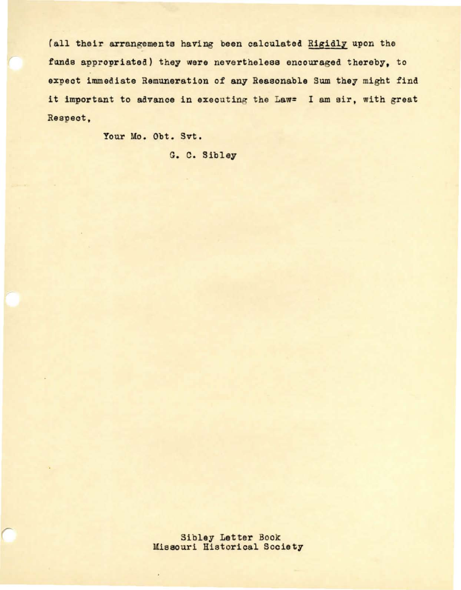(all their arrangements having been calculated Rigidly upon the funds appropriated) they **were** nevertheless encouraged thereby, to expect immediate Remuneration of any Reasonable Sum they might find it important to advance in executing the Law= I am sir, with great Respect,

Your Mo. Obt. Svt.

G. C. Sibley

Sibley Letter Book Missouri Historical Society

÷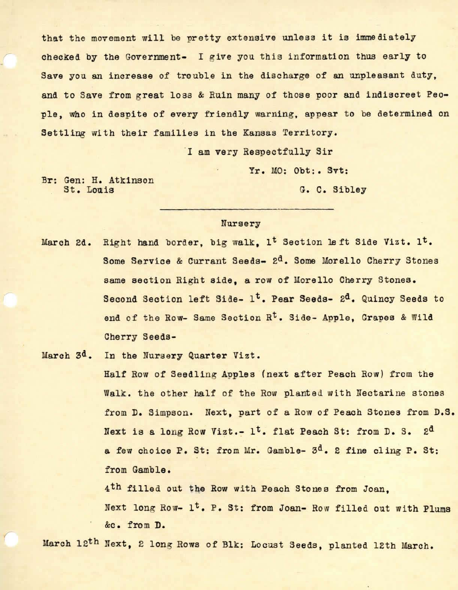that the movement will be pretty extensive unless it is immediately checked by the Government- I give you this information thus early to Save you an increase of trouble in the discharge of an unpleasant duty, and to Save from great loss & Ruin many of those poor and indiscreet People, who in despite of every friendly warning, appear to be determined on Settling with their families in the Kansas Territory.

I am very Respectfully Sir

Yr. MO: Obt:. Svt:

Br: Gen: H. Atkinson St. Louis

G. C. Sibley

## Nursery

March 2d. Right hand border, big walk, 1<sup>t</sup> Section left Side Vizt. 1<sup>t</sup>. Some Service & Currant Seeds- 2<sup>d</sup>. Some Morello Cherry Stones same section Right side, a row of Morello Cherry Stones. Second Section left Side- 1<sup>t</sup>. Pear Seeds- 2<sup>d</sup>. Quincy Seeds to end of the Row- Same Section R<sup>t</sup>. Side- Apple, Grapes & Wild Cherry Seeds-

March 3<sup>d</sup>. In the Nursery Quarter Vizt.

Half Row of Seedling Apples (next after Peach Row) from the Walk. the other half of the Row planted with Nectarine stones from D. Simpson. Next, part of a Row of Peach Stones from D.S. Next is a long Row Vizt.-  $1<sup>t</sup>$ . flat Peach St: from D. S. 2<sup>d</sup> a few choice P. St: from Mr. Gamble- 3<sup>d</sup>. 2 fine cling P. St: from Gamble.

4<sup>th</sup> filled out the Row with Peach Stones from Joan. Next long Row- 1<sup>t</sup>. P. St: from Joan- Row filled out with Plums &c • from D.

March 12<sup>th</sup> Next, 2 long Rows of Blk: Locust Seeds, planted 12th March.